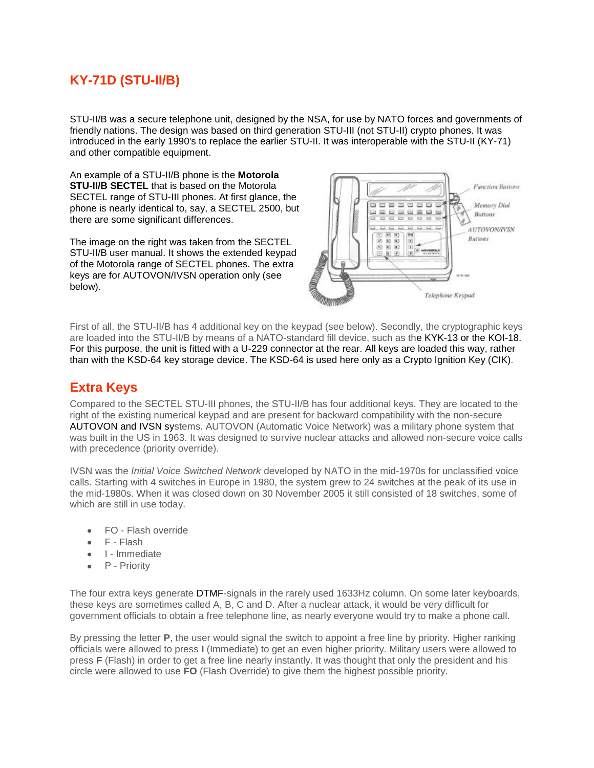# **KY-71D (STU-II/B)**

STU-II/B was a secure telephone unit, designed by the NSA, for use by NATO forces and governments of friendly nations. The design was based on third generation STU-III (not STU-II) crypto phones. It was introduced in the early 1990's to replace the earlier STU-II. It was interoperable with the STU-II (KY-71) and other [compatible equipment.](http://www.cryptomuseum.com/crypto/usa/stu2b/index.htm#inter)

An example of a STU-II/B phone is the **Motorola STU-II/B SECTEL** that is based on the Motorola SECTEL range of STU-III phones. At first glance, the phone is nearly identical to, say, a SECTEL 2500, but there are some significant differences.

The image on the right was taken from the SECTEL STU-II/B user manual. It shows the extended keypad of the Motorola range of SECTEL phones. The extra keys are for AUTOVON/IVSN operation only (see below).



First of all, the STU-II/B has 4 additional key on the keypad (see below). Secondly, the cryptographic keys are loaded into the STU-II/B by means of a NATO-standard fill device, such as the KYK-13 or the KOI-18. For this purpose, the unit is fitted with a U-229 connector at the rear. All keys are loaded this way, rather than with the KSD-64 key storage device. The KSD-64 is used here only as a Crypto Ignition Key (CIK).

### **Extra Keys**

Compared to the SECTEL STU-III phones, the STU-II/B has four additional keys. They are located to the right of the existing numerical keypad and are present for backward compatibility with the non-secure AUTOVON and IVSN systems. AUTOVON (Automatic Voice Network) was a military phone system that was built in the US in 1963. It was designed to survive nuclear attacks and allowed non-secure voice calls with precedence (priority override).

IVSN was the *Initial Voice Switched Network* developed by NATO in the mid-1970s for unclassified voice calls. Starting with 4 switches in Europe in 1980, the system grew to 24 switches at the peak of its use in the mid-1980s. When it was closed down on 30 November 2005 it still consisted of 18 switches, some of which are still in use today.

- FO Flash override
- F Flash
- I Immediate
- P Priority

The four extra keys generate DTMF-signals in the rarely used 1633Hz column. On some later keyboards, these keys are sometimes called A, B, C and D. After a nuclear attack, it would be very difficult for government officials to obtain a free telephone line, as nearly everyone would try to make a phone call.

By pressing the letter **P**, the user would signal the switch to appoint a free line by priority. Higher ranking officials were allowed to press **I** (Immediate) to get an even higher priority. Military users were allowed to press **F** (Flash) in order to get a free line nearly instantly. It was thought that only the president and his circle were allowed to use **FO** (Flash Override) to give them the highest possible priority.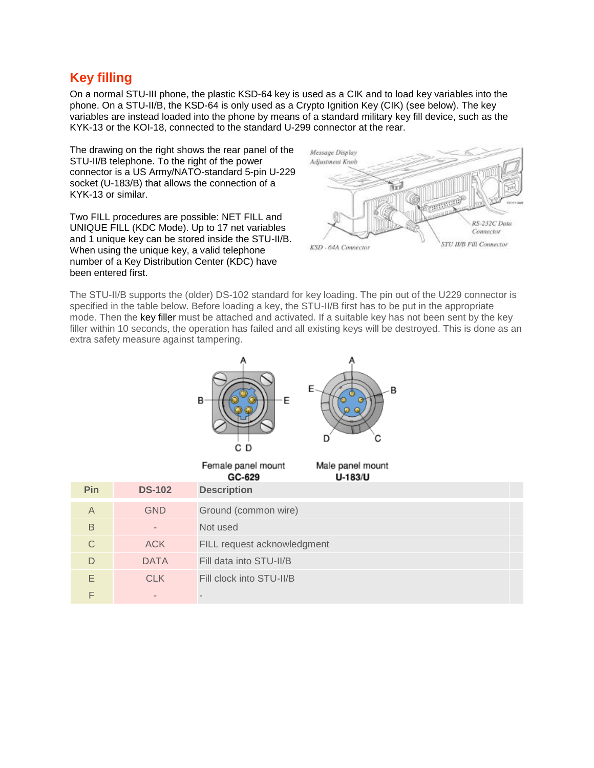## **Key filling**

On a normal STU-III phone, the plastic KSD-64 key is used as a CIK and to load key variables into the phone. On a STU-II/B, the KSD-64 is only used as a Crypto Ignition Key (CIK) (see below). The key variables are instead loaded into the phone by means of a standard military key fill device, such as the KYK-13 or the KOI-18, connected to the [standard U-299 connector](http://www.cryptomuseum.com/crypto/usa/u229/index.htm) at the rear.

The drawing on the right shows the rear panel of the STU-II/B telephone. To the right of the power connector is a US Army/NATO-standard 5-pin U-229 socket (U-183/B) that allows the connection of a KYK-13 or similar.

Two FILL procedures are possible: NET FILL and UNIQUE FILL (KDC Mode). Up to 17 net variables and 1 unique key can be stored inside the STU-II/B. When using the unique key, a valid telephone number of a Key Distribution Center (KDC) have been entered first.



The STU-II/B supports the (older) DS-102 standard for key loading. The pin out of the U229 connector is specified in the table below. Before loading a key, the STU-II/B first has to be put in the appropriate mode. Then the key filler must be attached and activated. If a suitable key has not been sent by the key filler within 10 seconds, the operation has failed and all existing keys will be destroyed. This is done as an extra safety measure against tampering.



| Pin            | <b>DS-102</b>     | <b>Description</b>          |  |
|----------------|-------------------|-----------------------------|--|
| $\overline{A}$ | <b>GND</b>        | Ground (common wire)        |  |
| B              | $\qquad \qquad =$ | Not used                    |  |
| C              | ACK               | FILL request acknowledgment |  |
| D              | <b>DATA</b>       | Fill data into STU-II/B     |  |
| E              | <b>CLK</b>        | Fill clock into STU-II/B    |  |
|                |                   |                             |  |